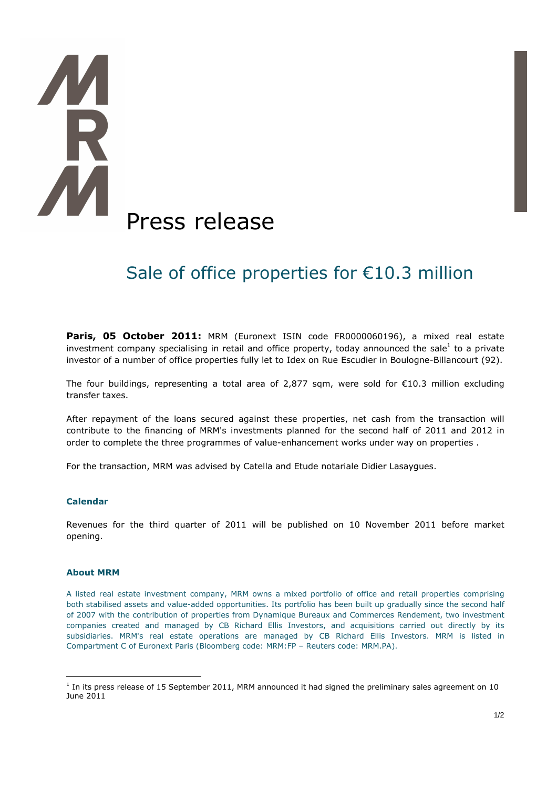# **TA** Press release

# Sale of office properties for  $E10.3$  million

Paris, 05 October 2011: MRM (Euronext ISIN code FR0000060196), a mixed real estate investment company specialising in retail and office property, today announced the sale<sup>1</sup> to a private investor of a number of office properties fully let to Idex on Rue Escudier in Boulogne-Billancourt (92).

The four buildings, representing a total area of 2,877 sqm, were sold for €10.3 million excluding transfer taxes.

After repayment of the loans secured against these properties, net cash from the transaction will contribute to the financing of MRM's investments planned for the second half of 2011 and 2012 in order to complete the three programmes of value-enhancement works under way on properties .

For the transaction, MRM was advised by Catella and Etude notariale Didier Lasaygues.

### **Calendar**

Revenues for the third quarter of 2011 will be published on 10 November 2011 before market opening.

### **About MRM**

 $\overline{a}$ 

A listed real estate investment company, MRM owns a mixed portfolio of office and retail properties comprising both stabilised assets and value-added opportunities. Its portfolio has been built up gradually since the second half of 2007 with the contribution of properties from Dynamique Bureaux and Commerces Rendement, two investment companies created and managed by CB Richard Ellis Investors, and acquisitions carried out directly by its subsidiaries. MRM's real estate operations are managed by CB Richard Ellis Investors. MRM is listed in Compartment C of Euronext Paris (Bloomberg code: MRM:FP – Reuters code: MRM.PA).

 $<sup>1</sup>$  In its press release of 15 September 2011, MRM announced it had signed the preliminary sales agreement on 10</sup> June 2011